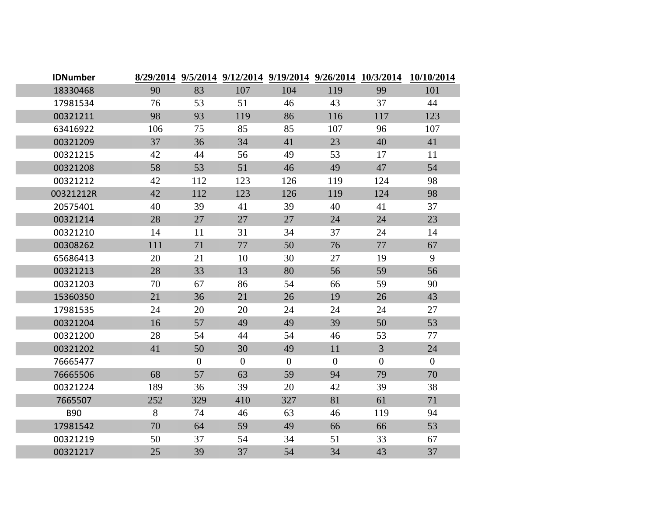| <b>IDNumber</b> |     |                |                  |                |                  |                | 8/29/2014 9/5/2014 9/12/2014 9/19/2014 9/26/2014 10/3/2014 10/10/2014 |
|-----------------|-----|----------------|------------------|----------------|------------------|----------------|-----------------------------------------------------------------------|
| 18330468        | 90  | 83             | 107              | 104            | 119              | 99             | 101                                                                   |
| 17981534        | 76  | 53             | 51               | 46             | 43               | 37             | 44                                                                    |
| 00321211        | 98  | 93             | 119              | 86             | 116              | 117            | 123                                                                   |
| 63416922        | 106 | 75             | 85               | 85             | 107              | 96             | 107                                                                   |
| 00321209        | 37  | 36             | 34               | 41             | 23               | 40             | 41                                                                    |
| 00321215        | 42  | 44             | 56               | 49             | 53               | 17             | 11                                                                    |
| 00321208        | 58  | 53             | 51               | 46             | 49               | 47             | 54                                                                    |
| 00321212        | 42  | 112            | 123              | 126            | 119              | 124            | 98                                                                    |
| 00321212R       | 42  | 112            | 123              | 126            | 119              | 124            | 98                                                                    |
| 20575401        | 40  | 39             | 41               | 39             | 40               | 41             | 37                                                                    |
| 00321214        | 28  | 27             | 27               | 27             | 24               | 24             | 23                                                                    |
| 00321210        | 14  | 11             | 31               | 34             | 37               | 24             | 14                                                                    |
| 00308262        | 111 | 71             | 77               | 50             | 76               | 77             | 67                                                                    |
| 65686413        | 20  | 21             | 10               | 30             | 27               | 19             | 9                                                                     |
| 00321213        | 28  | 33             | 13               | 80             | 56               | 59             | 56                                                                    |
| 00321203        | 70  | 67             | 86               | 54             | 66               | 59             | 90                                                                    |
| 15360350        | 21  | 36             | 21               | 26             | 19               | 26             | 43                                                                    |
| 17981535        | 24  | 20             | 20               | 24             | 24               | 24             | 27                                                                    |
| 00321204        | 16  | 57             | 49               | 49             | 39               | 50             | 53                                                                    |
| 00321200        | 28  | 54             | 44               | 54             | 46               | 53             | 77                                                                    |
| 00321202        | 41  | 50             | 30               | 49             | 11               | $\overline{3}$ | 24                                                                    |
| 76665477        |     | $\overline{0}$ | $\boldsymbol{0}$ | $\overline{0}$ | $\boldsymbol{0}$ | $\overline{0}$ | $\overline{0}$                                                        |
| 76665506        | 68  | 57             | 63               | 59             | 94               | 79             | 70                                                                    |
| 00321224        | 189 | 36             | 39               | 20             | 42               | 39             | 38                                                                    |
| 7665507         | 252 | 329            | 410              | 327            | 81               | 61             | 71                                                                    |
| <b>B90</b>      | 8   | 74             | 46               | 63             | 46               | 119            | 94                                                                    |
| 17981542        | 70  | 64             | 59               | 49             | 66               | 66             | 53                                                                    |
| 00321219        | 50  | 37             | 54               | 34             | 51               | 33             | 67                                                                    |
| 00321217        | 25  | 39             | 37               | 54             | 34               | 43             | 37                                                                    |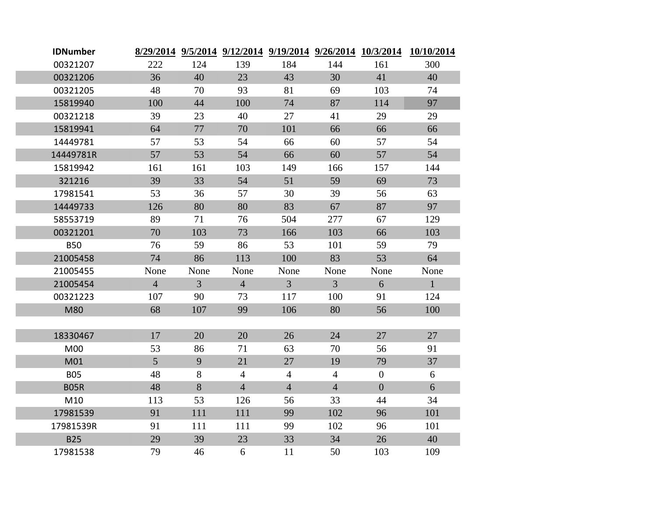| <b>IDNumber</b> |                 |                |                |                |                |                  | 8/29/2014 9/5/2014 9/12/2014 9/19/2014 9/26/2014 10/3/2014 10/10/2014 |
|-----------------|-----------------|----------------|----------------|----------------|----------------|------------------|-----------------------------------------------------------------------|
| 00321207        | 222             | 124            | 139            | 184            | 144            | 161              | 300                                                                   |
| 00321206        | 36              | 40             | 23             | 43             | 30             | 41               | 40                                                                    |
| 00321205        | 48              | 70             | 93             | 81             | 69             | 103              | 74                                                                    |
| 15819940        | 100             | 44             | 100            | 74             | 87             | 114              | 97                                                                    |
| 00321218        | 39              | 23             | 40             | 27             | 41             | 29               | 29                                                                    |
| 15819941        | 64              | 77             | 70             | 101            | 66             | 66               | 66                                                                    |
| 14449781        | 57              | 53             | 54             | 66             | 60             | 57               | 54                                                                    |
| 14449781R       | 57              | 53             | 54             | 66             | 60             | 57               | 54                                                                    |
| 15819942        | 161             | 161            | 103            | 149            | 166            | 157              | 144                                                                   |
| 321216          | 39              | 33             | 54             | 51             | 59             | 69               | 73                                                                    |
| 17981541        | 53              | 36             | 57             | 30             | 39             | 56               | 63                                                                    |
| 14449733        | 126             | 80             | 80             | 83             | 67             | 87               | 97                                                                    |
| 58553719        | 89              | 71             | 76             | 504            | 277            | 67               | 129                                                                   |
| 00321201        | 70              | 103            | 73             | 166            | 103            | 66               | 103                                                                   |
| <b>B50</b>      | 76              | 59             | 86             | 53             | 101            | 59               | 79                                                                    |
| 21005458        | 74              | 86             | 113            | 100            | 83             | 53               | 64                                                                    |
| 21005455        | None            | None           | None           | None           | None           | None             | None                                                                  |
| 21005454        | $\overline{4}$  | $\overline{3}$ | $\overline{4}$ | 3 <sup>1</sup> | $\overline{3}$ | 6                | $\mathbf{1}$                                                          |
| 00321223        | 107             | 90             | 73             | 117            | 100            | 91               | 124                                                                   |
| M80             | 68              | 107            | 99             | 106            | 80             | 56               | 100                                                                   |
|                 |                 |                |                |                |                |                  |                                                                       |
| 18330467        | 17              | 20             | 20             | 26             | 24             | 27               | 27                                                                    |
| M00             | 53              | 86             | 71             | 63             | 70             | 56               | 91                                                                    |
| M01             | $5\overline{)}$ | 9              | 21             | 27             | 19             | 79               | 37                                                                    |
| <b>B05</b>      | 48              | 8              | $\overline{4}$ | $\overline{4}$ | $\overline{4}$ | $\boldsymbol{0}$ | 6                                                                     |
| <b>B05R</b>     | 48              | 8              | $\overline{4}$ | $\overline{4}$ | $\overline{4}$ | $\overline{0}$   | 6                                                                     |
| M10             | 113             | 53             | 126            | 56             | 33             | 44               | 34                                                                    |
| 17981539        | 91              | 111            | 111            | 99             | 102            | 96               | 101                                                                   |
| 17981539R       | 91              | 111            | 111            | 99             | 102            | 96               | 101                                                                   |
| <b>B25</b>      | 29              | 39             | 23             | 33             | 34             | 26               | 40                                                                    |
| 17981538        | 79              | 46             | 6              | 11             | 50             | 103              | 109                                                                   |